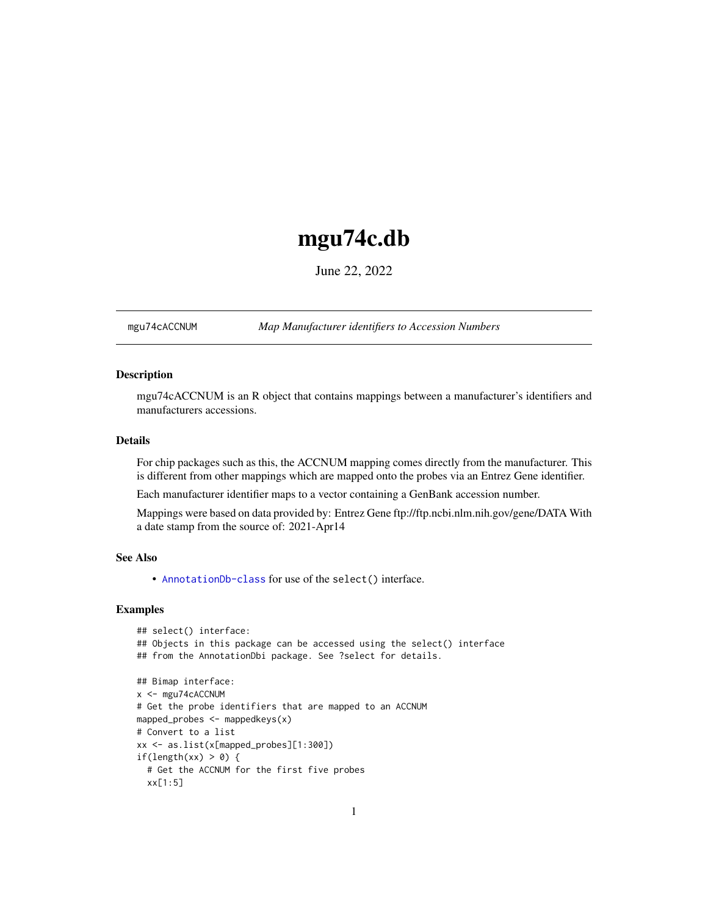## <span id="page-0-1"></span>mgu74c.db

June 22, 2022

<span id="page-0-0"></span>mgu74cACCNUM *Map Manufacturer identifiers to Accession Numbers*

## Description

mgu74cACCNUM is an R object that contains mappings between a manufacturer's identifiers and manufacturers accessions.

## Details

For chip packages such as this, the ACCNUM mapping comes directly from the manufacturer. This is different from other mappings which are mapped onto the probes via an Entrez Gene identifier.

Each manufacturer identifier maps to a vector containing a GenBank accession number.

Mappings were based on data provided by: Entrez Gene ftp://ftp.ncbi.nlm.nih.gov/gene/DATA With a date stamp from the source of: 2021-Apr14

## See Also

• AnnotationDb-class for use of the select() interface.

```
## select() interface:
## Objects in this package can be accessed using the select() interface
## from the AnnotationDbi package. See ?select for details.
## Bimap interface:
x <- mgu74cACCNUM
# Get the probe identifiers that are mapped to an ACCNUM
mapped_probes <- mappedkeys(x)
# Convert to a list
xx <- as.list(x[mapped_probes][1:300])
if(length(xx) > 0) {
 # Get the ACCNUM for the first five probes
 xx[1:5]
```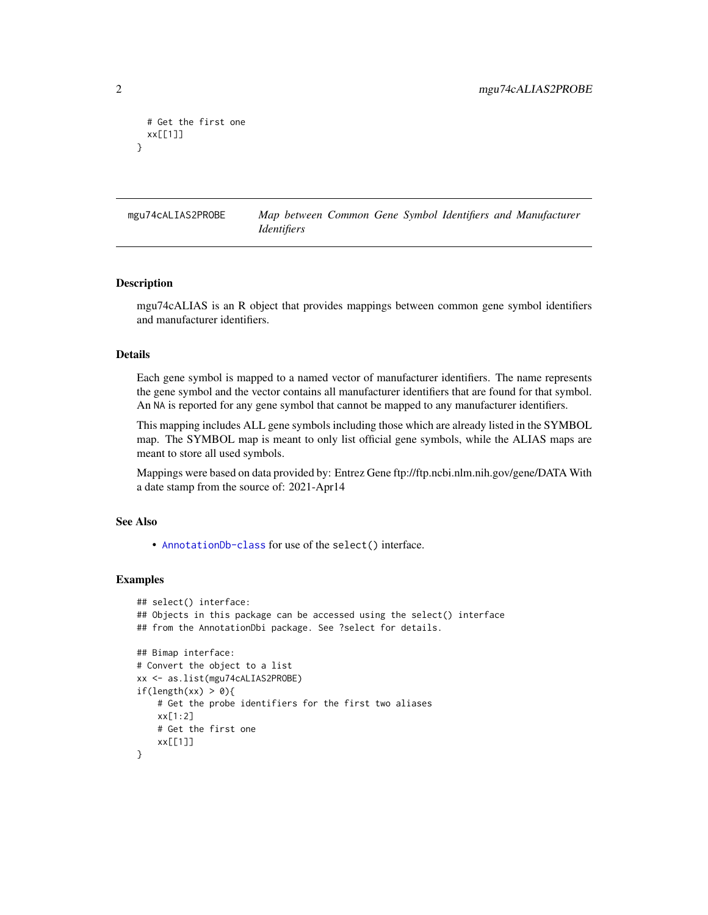```
# Get the first one
 xx[[1]]
}
```
mgu74cALIAS2PROBE *Map between Common Gene Symbol Identifiers and Manufacturer Identifiers*

#### Description

mgu74cALIAS is an R object that provides mappings between common gene symbol identifiers and manufacturer identifiers.

## Details

Each gene symbol is mapped to a named vector of manufacturer identifiers. The name represents the gene symbol and the vector contains all manufacturer identifiers that are found for that symbol. An NA is reported for any gene symbol that cannot be mapped to any manufacturer identifiers.

This mapping includes ALL gene symbols including those which are already listed in the SYMBOL map. The SYMBOL map is meant to only list official gene symbols, while the ALIAS maps are meant to store all used symbols.

Mappings were based on data provided by: Entrez Gene ftp://ftp.ncbi.nlm.nih.gov/gene/DATA With a date stamp from the source of: 2021-Apr14

## See Also

• [AnnotationDb-class](#page-0-0) for use of the select() interface.

```
## select() interface:
## Objects in this package can be accessed using the select() interface
## from the AnnotationDbi package. See ?select for details.
## Bimap interface:
# Convert the object to a list
xx <- as.list(mgu74cALIAS2PROBE)
if(length(xx) > 0){
    # Get the probe identifiers for the first two aliases
   xx[1:2]
   # Get the first one
   xx[[1]]
}
```
<span id="page-1-0"></span>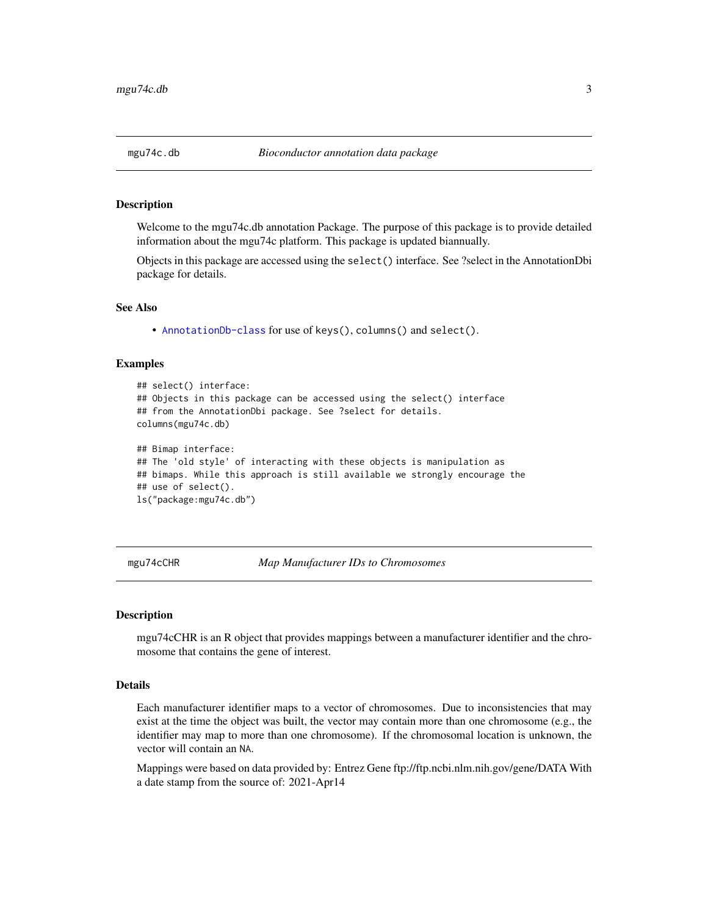<span id="page-2-0"></span>Welcome to the mgu74c.db annotation Package. The purpose of this package is to provide detailed information about the mgu74c platform. This package is updated biannually.

Objects in this package are accessed using the select() interface. See ?select in the AnnotationDbi package for details.

#### See Also

• [AnnotationDb-class](#page-0-0) for use of keys(), columns() and select().

#### Examples

```
## select() interface:
## Objects in this package can be accessed using the select() interface
## from the AnnotationDbi package. See ?select for details.
columns(mgu74c.db)
## Bimap interface:
## The 'old style' of interacting with these objects is manipulation as
## bimaps. While this approach is still available we strongly encourage the
## use of select().
ls("package:mgu74c.db")
```
mgu74cCHR *Map Manufacturer IDs to Chromosomes*

#### **Description**

mgu74cCHR is an R object that provides mappings between a manufacturer identifier and the chromosome that contains the gene of interest.

## Details

Each manufacturer identifier maps to a vector of chromosomes. Due to inconsistencies that may exist at the time the object was built, the vector may contain more than one chromosome (e.g., the identifier may map to more than one chromosome). If the chromosomal location is unknown, the vector will contain an NA.

Mappings were based on data provided by: Entrez Gene ftp://ftp.ncbi.nlm.nih.gov/gene/DATA With a date stamp from the source of: 2021-Apr14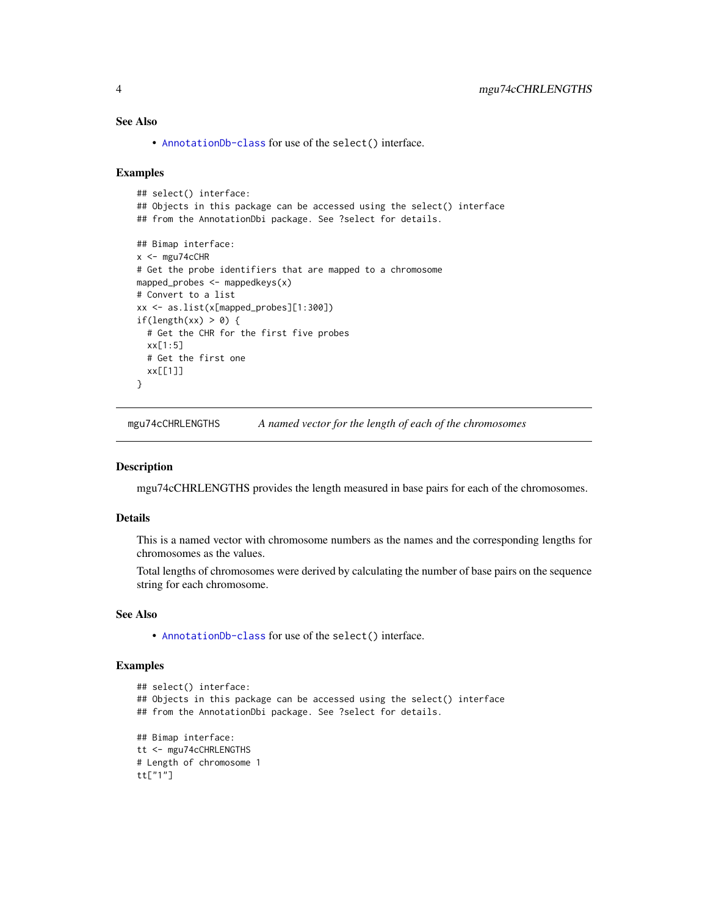## <span id="page-3-0"></span>See Also

• [AnnotationDb-class](#page-0-0) for use of the select() interface.

#### Examples

```
## select() interface:
## Objects in this package can be accessed using the select() interface
## from the AnnotationDbi package. See ?select for details.
## Bimap interface:
x < - mgu74cCHR
# Get the probe identifiers that are mapped to a chromosome
mapped_probes <- mappedkeys(x)
# Convert to a list
xx <- as.list(x[mapped_probes][1:300])
if(length(xx) > 0) {
  # Get the CHR for the first five probes
  xx[1:5]
  # Get the first one
  xx[[1]]
}
```
mgu74cCHRLENGTHS *A named vector for the length of each of the chromosomes*

#### Description

mgu74cCHRLENGTHS provides the length measured in base pairs for each of the chromosomes.

#### Details

This is a named vector with chromosome numbers as the names and the corresponding lengths for chromosomes as the values.

Total lengths of chromosomes were derived by calculating the number of base pairs on the sequence string for each chromosome.

## See Also

• [AnnotationDb-class](#page-0-0) for use of the select() interface.

```
## select() interface:
## Objects in this package can be accessed using the select() interface
## from the AnnotationDbi package. See ?select for details.
## Bimap interface:
tt <- mgu74cCHRLENGTHS
# Length of chromosome 1
tt["1"]
```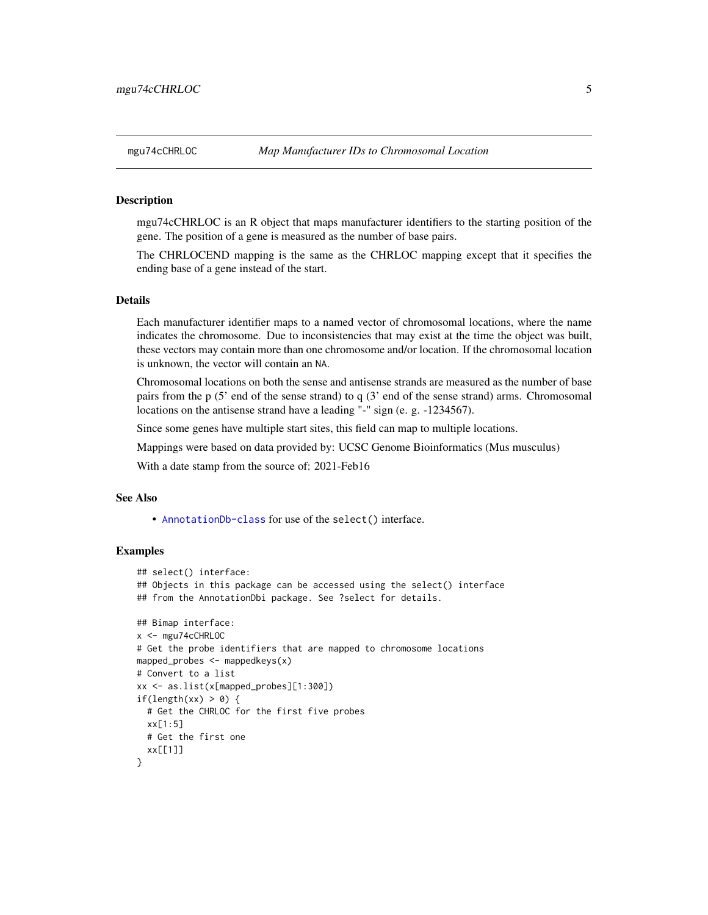<span id="page-4-0"></span>mgu74cCHRLOC is an R object that maps manufacturer identifiers to the starting position of the gene. The position of a gene is measured as the number of base pairs.

The CHRLOCEND mapping is the same as the CHRLOC mapping except that it specifies the ending base of a gene instead of the start.

## Details

Each manufacturer identifier maps to a named vector of chromosomal locations, where the name indicates the chromosome. Due to inconsistencies that may exist at the time the object was built, these vectors may contain more than one chromosome and/or location. If the chromosomal location is unknown, the vector will contain an NA.

Chromosomal locations on both the sense and antisense strands are measured as the number of base pairs from the p (5' end of the sense strand) to q (3' end of the sense strand) arms. Chromosomal locations on the antisense strand have a leading "-" sign (e. g. -1234567).

Since some genes have multiple start sites, this field can map to multiple locations.

Mappings were based on data provided by: UCSC Genome Bioinformatics (Mus musculus)

With a date stamp from the source of: 2021-Feb16

## See Also

• [AnnotationDb-class](#page-0-0) for use of the select() interface.

```
## select() interface:
## Objects in this package can be accessed using the select() interface
## from the AnnotationDbi package. See ?select for details.
## Bimap interface:
x <- mgu74cCHRLOC
# Get the probe identifiers that are mapped to chromosome locations
mapped_probes <- mappedkeys(x)
# Convert to a list
xx <- as.list(x[mapped_probes][1:300])
if(length(xx) > 0) {
 # Get the CHRLOC for the first five probes
 xx[1:5]
 # Get the first one
 xx[[1]]
}
```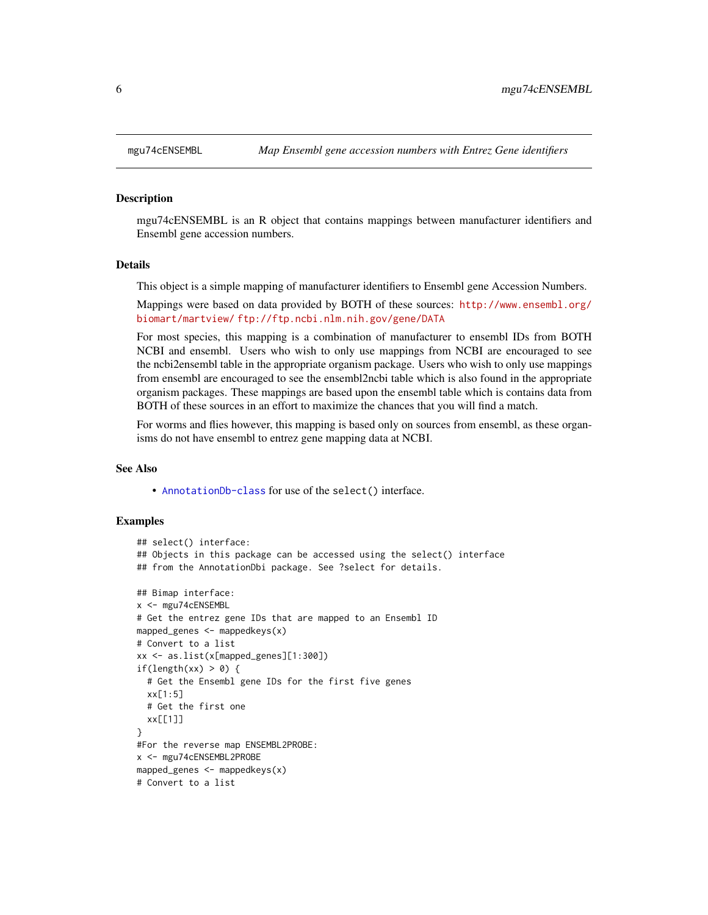mgu74cENSEMBL is an R object that contains mappings between manufacturer identifiers and Ensembl gene accession numbers.

#### Details

This object is a simple mapping of manufacturer identifiers to Ensembl gene Accession Numbers.

Mappings were based on data provided by BOTH of these sources: [http://www.ensembl.org/](http://www.ensembl.org/biomart/martview/) [biomart/martview/](http://www.ensembl.org/biomart/martview/) <ftp://ftp.ncbi.nlm.nih.gov/gene/DATA>

For most species, this mapping is a combination of manufacturer to ensembl IDs from BOTH NCBI and ensembl. Users who wish to only use mappings from NCBI are encouraged to see the ncbi2ensembl table in the appropriate organism package. Users who wish to only use mappings from ensembl are encouraged to see the ensembl2ncbi table which is also found in the appropriate organism packages. These mappings are based upon the ensembl table which is contains data from BOTH of these sources in an effort to maximize the chances that you will find a match.

For worms and flies however, this mapping is based only on sources from ensembl, as these organisms do not have ensembl to entrez gene mapping data at NCBI.

## See Also

• [AnnotationDb-class](#page-0-0) for use of the select() interface.

```
## select() interface:
## Objects in this package can be accessed using the select() interface
## from the AnnotationDbi package. See ?select for details.
## Bimap interface:
x <- mgu74cENSEMBL
# Get the entrez gene IDs that are mapped to an Ensembl ID
mapped_genes \leq mappedkeys(x)
# Convert to a list
xx <- as.list(x[mapped_genes][1:300])
if(length(xx) > 0) {
 # Get the Ensembl gene IDs for the first five genes
 xx[1:5]
 # Get the first one
 xx[[1]]
}
#For the reverse map ENSEMBL2PROBE:
x <- mgu74cENSEMBL2PROBE
mapped_genes <- mappedkeys(x)
# Convert to a list
```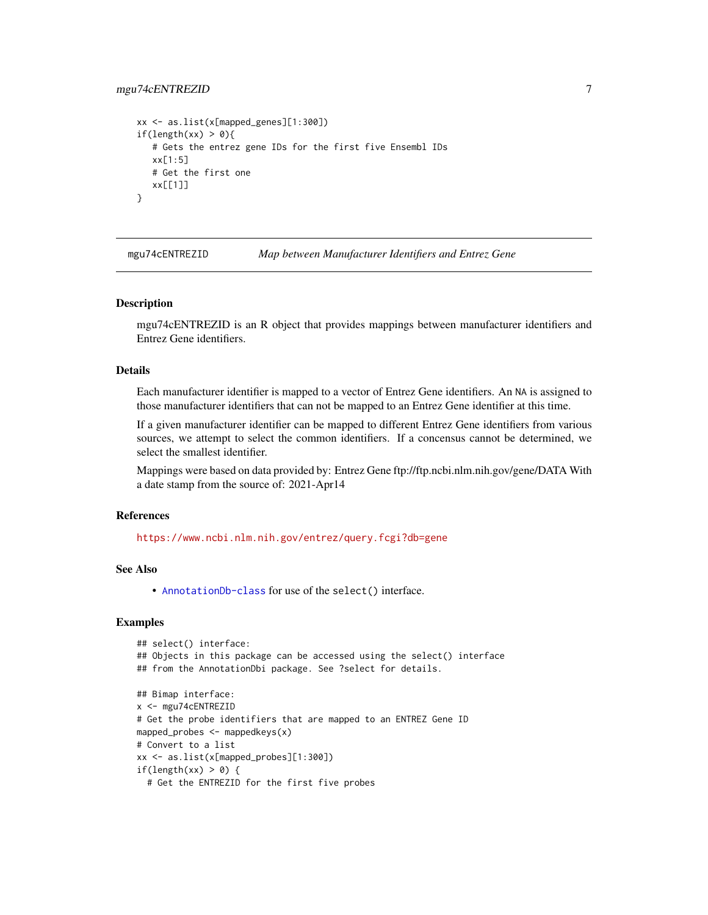## <span id="page-6-0"></span>mgu74cENTREZID 7

```
xx <- as.list(x[mapped_genes][1:300])
if(length(xx) > 0){
   # Gets the entrez gene IDs for the first five Ensembl IDs
  xx[1:5]
  # Get the first one
  xx[[1]]
}
```
mgu74cENTREZID *Map between Manufacturer Identifiers and Entrez Gene*

#### Description

mgu74cENTREZID is an R object that provides mappings between manufacturer identifiers and Entrez Gene identifiers.

## Details

Each manufacturer identifier is mapped to a vector of Entrez Gene identifiers. An NA is assigned to those manufacturer identifiers that can not be mapped to an Entrez Gene identifier at this time.

If a given manufacturer identifier can be mapped to different Entrez Gene identifiers from various sources, we attempt to select the common identifiers. If a concensus cannot be determined, we select the smallest identifier.

Mappings were based on data provided by: Entrez Gene ftp://ftp.ncbi.nlm.nih.gov/gene/DATA With a date stamp from the source of: 2021-Apr14

## References

<https://www.ncbi.nlm.nih.gov/entrez/query.fcgi?db=gene>

## See Also

• [AnnotationDb-class](#page-0-0) for use of the select() interface.

```
## select() interface:
## Objects in this package can be accessed using the select() interface
## from the AnnotationDbi package. See ?select for details.
## Bimap interface:
x <- mgu74cENTREZID
# Get the probe identifiers that are mapped to an ENTREZ Gene ID
mapped_probes <- mappedkeys(x)
# Convert to a list
xx <- as.list(x[mapped_probes][1:300])
if(length(xx) > 0) {
 # Get the ENTREZID for the first five probes
```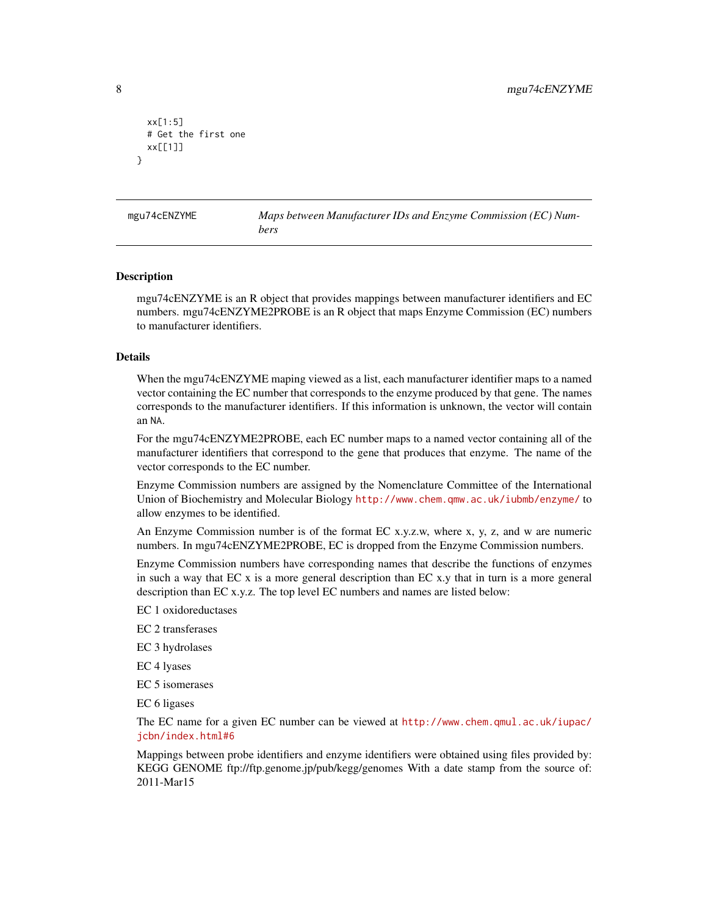```
xx[1:5]
 # Get the first one
 xx[[1]]
}
```
mgu74cENZYME *Maps between Manufacturer IDs and Enzyme Commission (EC) Numbers*

#### Description

mgu74cENZYME is an R object that provides mappings between manufacturer identifiers and EC numbers. mgu74cENZYME2PROBE is an R object that maps Enzyme Commission (EC) numbers to manufacturer identifiers.

#### Details

When the mgu74cENZYME maping viewed as a list, each manufacturer identifier maps to a named vector containing the EC number that corresponds to the enzyme produced by that gene. The names corresponds to the manufacturer identifiers. If this information is unknown, the vector will contain an NA.

For the mgu74cENZYME2PROBE, each EC number maps to a named vector containing all of the manufacturer identifiers that correspond to the gene that produces that enzyme. The name of the vector corresponds to the EC number.

Enzyme Commission numbers are assigned by the Nomenclature Committee of the International Union of Biochemistry and Molecular Biology <http://www.chem.qmw.ac.uk/iubmb/enzyme/> to allow enzymes to be identified.

An Enzyme Commission number is of the format EC x.y.z.w, where x, y, z, and w are numeric numbers. In mgu74cENZYME2PROBE, EC is dropped from the Enzyme Commission numbers.

Enzyme Commission numbers have corresponding names that describe the functions of enzymes in such a way that EC x is a more general description than EC x.y that in turn is a more general description than EC x.y.z. The top level EC numbers and names are listed below:

EC 1 oxidoreductases

EC 2 transferases

EC 3 hydrolases

EC 4 lyases

EC 5 isomerases

EC 6 ligases

The EC name for a given EC number can be viewed at [http://www.chem.qmul.ac.uk/iupac/](http://www.chem.qmul.ac.uk/iupac/jcbn/index.html#6) [jcbn/index.html#6](http://www.chem.qmul.ac.uk/iupac/jcbn/index.html#6)

Mappings between probe identifiers and enzyme identifiers were obtained using files provided by: KEGG GENOME ftp://ftp.genome.jp/pub/kegg/genomes With a date stamp from the source of: 2011-Mar15

<span id="page-7-0"></span>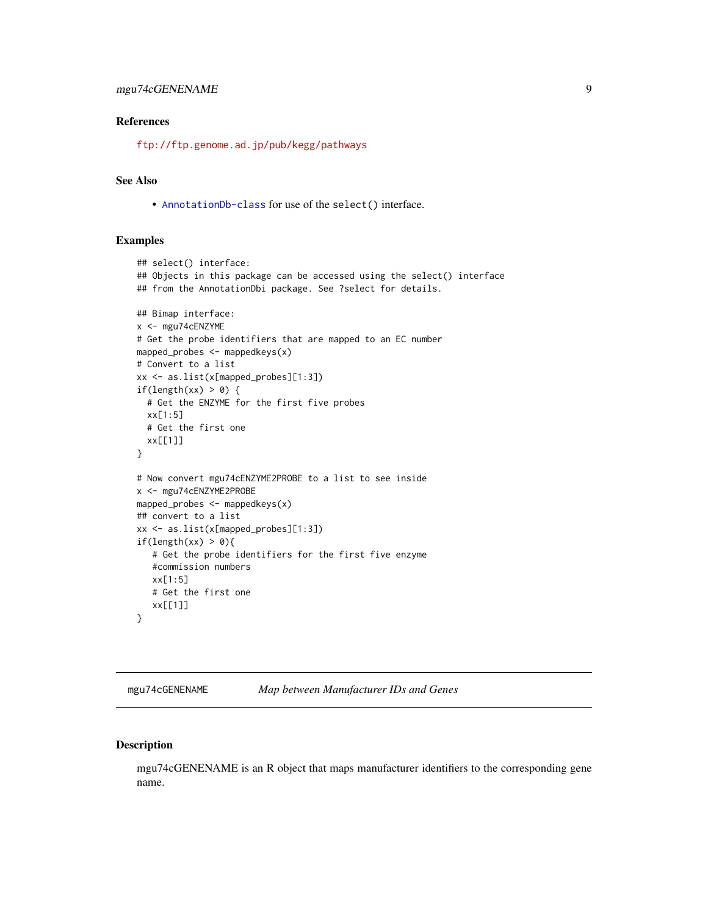## <span id="page-8-0"></span>mgu74cGENENAME 9

## References

<ftp://ftp.genome.ad.jp/pub/kegg/pathways>

## See Also

• [AnnotationDb-class](#page-0-0) for use of the select() interface.

## Examples

```
## select() interface:
## Objects in this package can be accessed using the select() interface
## from the AnnotationDbi package. See ?select for details.
## Bimap interface:
x <- mgu74cENZYME
# Get the probe identifiers that are mapped to an EC number
mapped_probes <- mappedkeys(x)
# Convert to a list
xx <- as.list(x[mapped_probes][1:3])
if(length(xx) > 0) {
  # Get the ENZYME for the first five probes
  xx[1:5]
  # Get the first one
  xx[[1]]
}
# Now convert mgu74cENZYME2PROBE to a list to see inside
x <- mgu74cENZYME2PROBE
mapped_probes \leq mappedkeys(x)
## convert to a list
xx <- as.list(x[mapped_probes][1:3])
if(length(xx) > 0){
   # Get the probe identifiers for the first five enzyme
   #commission numbers
   xx[1:5]
   # Get the first one
   xx[[1]]
}
```
mgu74cGENENAME *Map between Manufacturer IDs and Genes*

## Description

mgu74cGENENAME is an R object that maps manufacturer identifiers to the corresponding gene name.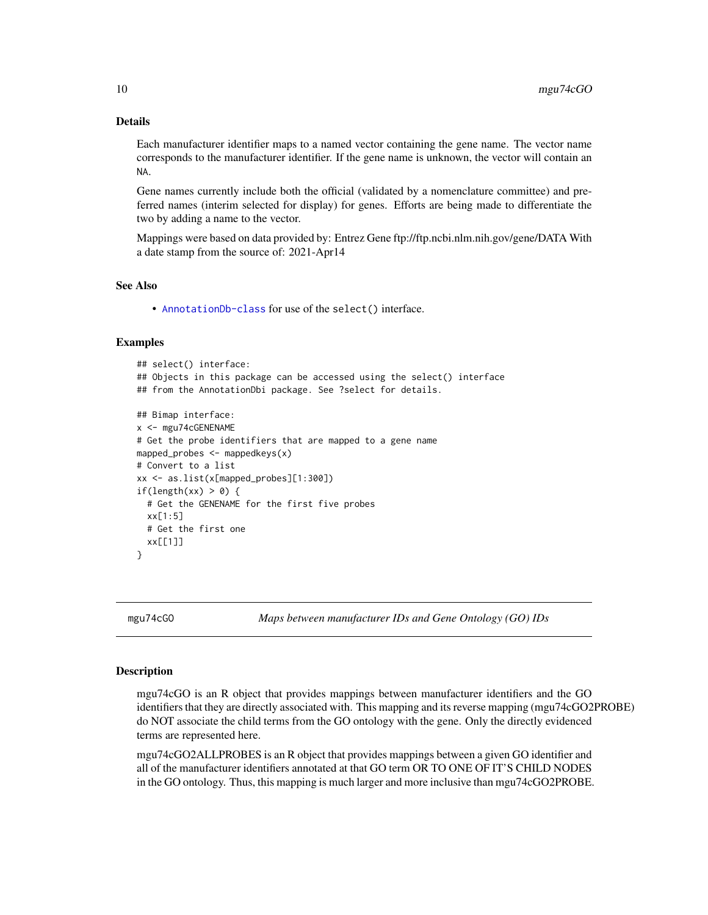## Details

Each manufacturer identifier maps to a named vector containing the gene name. The vector name corresponds to the manufacturer identifier. If the gene name is unknown, the vector will contain an NA.

Gene names currently include both the official (validated by a nomenclature committee) and preferred names (interim selected for display) for genes. Efforts are being made to differentiate the two by adding a name to the vector.

Mappings were based on data provided by: Entrez Gene ftp://ftp.ncbi.nlm.nih.gov/gene/DATA With a date stamp from the source of: 2021-Apr14

#### See Also

• [AnnotationDb-class](#page-0-0) for use of the select() interface.

#### Examples

```
## select() interface:
## Objects in this package can be accessed using the select() interface
## from the AnnotationDbi package. See ?select for details.
## Bimap interface:
x <- mgu74cGENENAME
# Get the probe identifiers that are mapped to a gene name
mapped_probes <- mappedkeys(x)
# Convert to a list
xx <- as.list(x[mapped_probes][1:300])
if(length(xx) > 0) {
 # Get the GENENAME for the first five probes
 xx[1:5]
 # Get the first one
 xx[[1]]
}
```
mgu74cGO *Maps between manufacturer IDs and Gene Ontology (GO) IDs*

#### <span id="page-9-0"></span>Description

mgu74cGO is an R object that provides mappings between manufacturer identifiers and the GO identifiers that they are directly associated with. This mapping and its reverse mapping (mgu74cGO2PROBE) do NOT associate the child terms from the GO ontology with the gene. Only the directly evidenced terms are represented here.

mgu74cGO2ALLPROBES is an R object that provides mappings between a given GO identifier and all of the manufacturer identifiers annotated at that GO term OR TO ONE OF IT'S CHILD NODES in the GO ontology. Thus, this mapping is much larger and more inclusive than mgu74cGO2PROBE.

<span id="page-9-1"></span>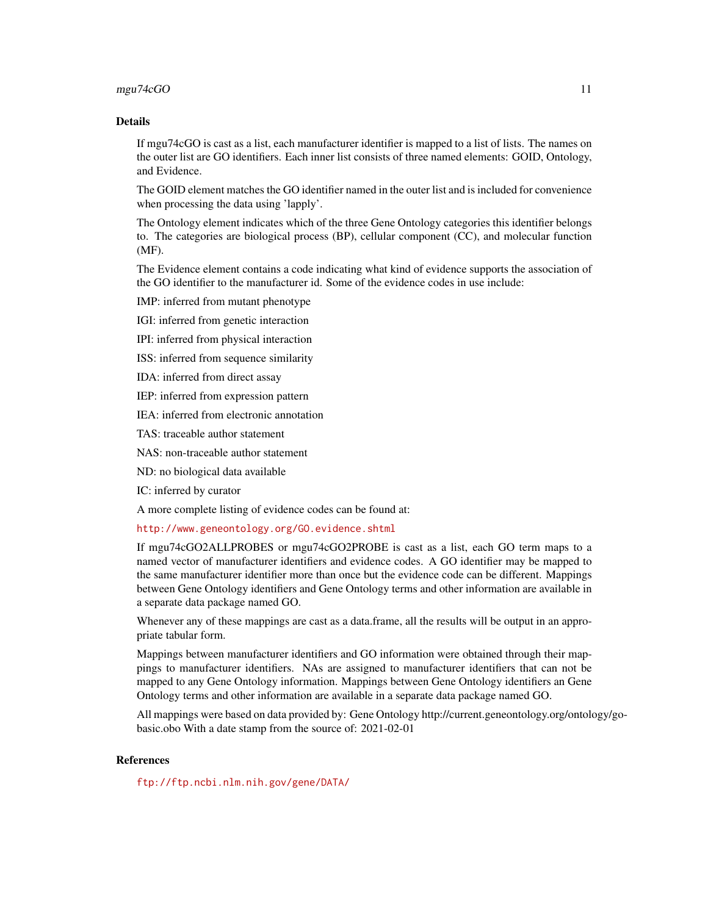#### mgu74cGO 11

## Details

If mgu74cGO is cast as a list, each manufacturer identifier is mapped to a list of lists. The names on the outer list are GO identifiers. Each inner list consists of three named elements: GOID, Ontology, and Evidence.

The GOID element matches the GO identifier named in the outer list and is included for convenience when processing the data using 'lapply'.

The Ontology element indicates which of the three Gene Ontology categories this identifier belongs to. The categories are biological process (BP), cellular component (CC), and molecular function (MF).

The Evidence element contains a code indicating what kind of evidence supports the association of the GO identifier to the manufacturer id. Some of the evidence codes in use include:

IMP: inferred from mutant phenotype

IGI: inferred from genetic interaction

IPI: inferred from physical interaction

ISS: inferred from sequence similarity

IDA: inferred from direct assay

IEP: inferred from expression pattern

IEA: inferred from electronic annotation

TAS: traceable author statement

NAS: non-traceable author statement

ND: no biological data available

IC: inferred by curator

A more complete listing of evidence codes can be found at:

<http://www.geneontology.org/GO.evidence.shtml>

If mgu74cGO2ALLPROBES or mgu74cGO2PROBE is cast as a list, each GO term maps to a named vector of manufacturer identifiers and evidence codes. A GO identifier may be mapped to the same manufacturer identifier more than once but the evidence code can be different. Mappings between Gene Ontology identifiers and Gene Ontology terms and other information are available in a separate data package named GO.

Whenever any of these mappings are cast as a data.frame, all the results will be output in an appropriate tabular form.

Mappings between manufacturer identifiers and GO information were obtained through their mappings to manufacturer identifiers. NAs are assigned to manufacturer identifiers that can not be mapped to any Gene Ontology information. Mappings between Gene Ontology identifiers an Gene Ontology terms and other information are available in a separate data package named GO.

All mappings were based on data provided by: Gene Ontology http://current.geneontology.org/ontology/gobasic.obo With a date stamp from the source of: 2021-02-01

## **References**

<ftp://ftp.ncbi.nlm.nih.gov/gene/DATA/>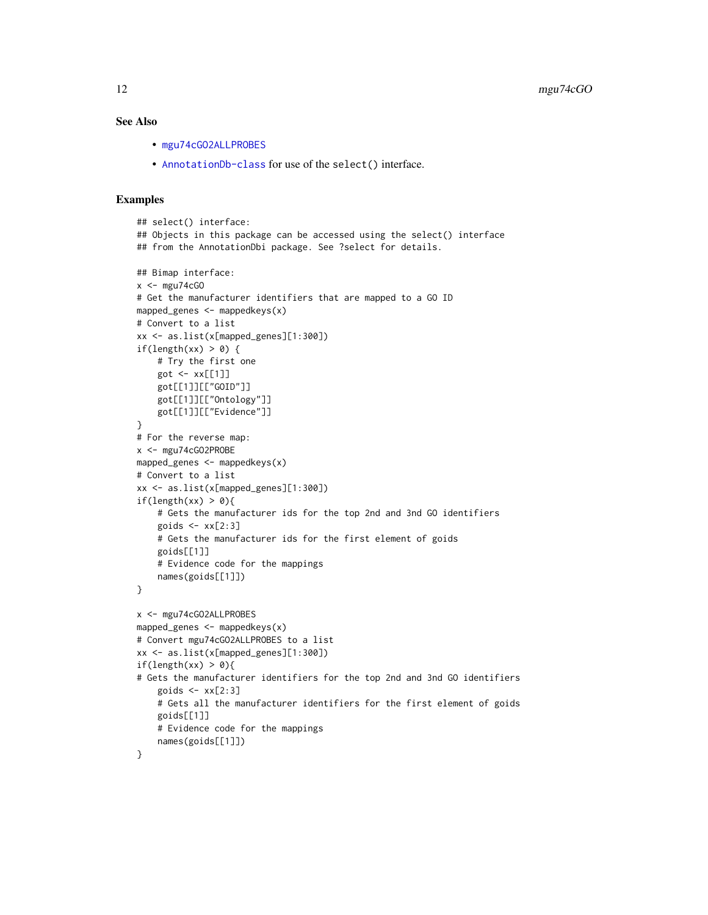## <span id="page-11-0"></span>See Also

- [mgu74cGO2ALLPROBES](#page-9-0)
- [AnnotationDb-class](#page-0-0) for use of the select() interface.

```
## select() interface:
## Objects in this package can be accessed using the select() interface
## from the AnnotationDbi package. See ?select for details.
## Bimap interface:
x < - mgu74cGO
# Get the manufacturer identifiers that are mapped to a GO ID
mapped_genes <- mappedkeys(x)
# Convert to a list
xx <- as.list(x[mapped_genes][1:300])
if(length(xx) > 0) {
    # Try the first one
   got \leq -xx[[1]]got[[1]][["GOID"]]
    got[[1]][["Ontology"]]
    got[[1]][["Evidence"]]
}
# For the reverse map:
x <- mgu74cGO2PROBE
mapped_genes <- mappedkeys(x)
# Convert to a list
xx <- as.list(x[mapped_genes][1:300])
if(length(xx) > 0){
    # Gets the manufacturer ids for the top 2nd and 3nd GO identifiers
    goids \leq -x \times [2:3]# Gets the manufacturer ids for the first element of goids
   goids[[1]]
    # Evidence code for the mappings
   names(goids[[1]])
}
x <- mgu74cGO2ALLPROBES
mapped_genes <- mappedkeys(x)
# Convert mgu74cGO2ALLPROBES to a list
xx <- as.list(x[mapped_genes][1:300])
if(length(xx) > 0){
# Gets the manufacturer identifiers for the top 2nd and 3nd GO identifiers
    goids \leq xx[2:3]# Gets all the manufacturer identifiers for the first element of goids
   goids[[1]]
    # Evidence code for the mappings
    names(goids[[1]])
}
```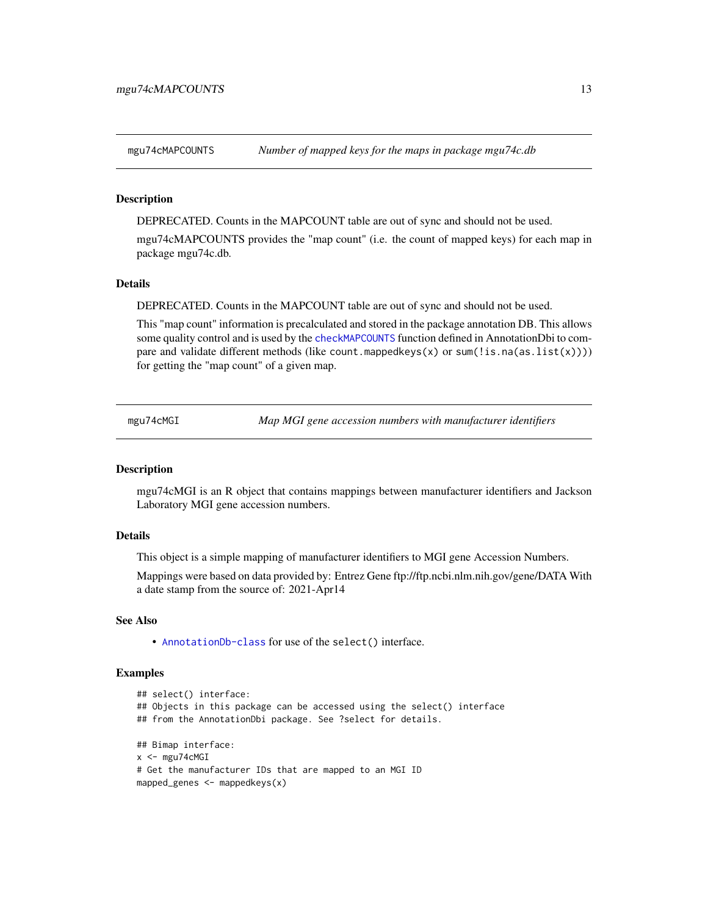<span id="page-12-0"></span>

DEPRECATED. Counts in the MAPCOUNT table are out of sync and should not be used.

mgu74cMAPCOUNTS provides the "map count" (i.e. the count of mapped keys) for each map in package mgu74c.db.

#### Details

DEPRECATED. Counts in the MAPCOUNT table are out of sync and should not be used.

This "map count" information is precalculated and stored in the package annotation DB. This allows some quality control and is used by the [checkMAPCOUNTS](#page-0-0) function defined in AnnotationDbi to compare and validate different methods (like count.mappedkeys(x) or sum(!is.na(as.list(x)))) for getting the "map count" of a given map.

mgu74cMGI *Map MGI gene accession numbers with manufacturer identifiers*

#### **Description**

mgu74cMGI is an R object that contains mappings between manufacturer identifiers and Jackson Laboratory MGI gene accession numbers.

#### Details

This object is a simple mapping of manufacturer identifiers to MGI gene Accession Numbers.

Mappings were based on data provided by: Entrez Gene ftp://ftp.ncbi.nlm.nih.gov/gene/DATA With a date stamp from the source of: 2021-Apr14

#### See Also

• [AnnotationDb-class](#page-0-0) for use of the select() interface.

```
## select() interface:
## Objects in this package can be accessed using the select() interface
## from the AnnotationDbi package. See ?select for details.
## Bimap interface:
x <- mgu74cMGI
# Get the manufacturer IDs that are mapped to an MGI ID
mapped_genes <- mappedkeys(x)
```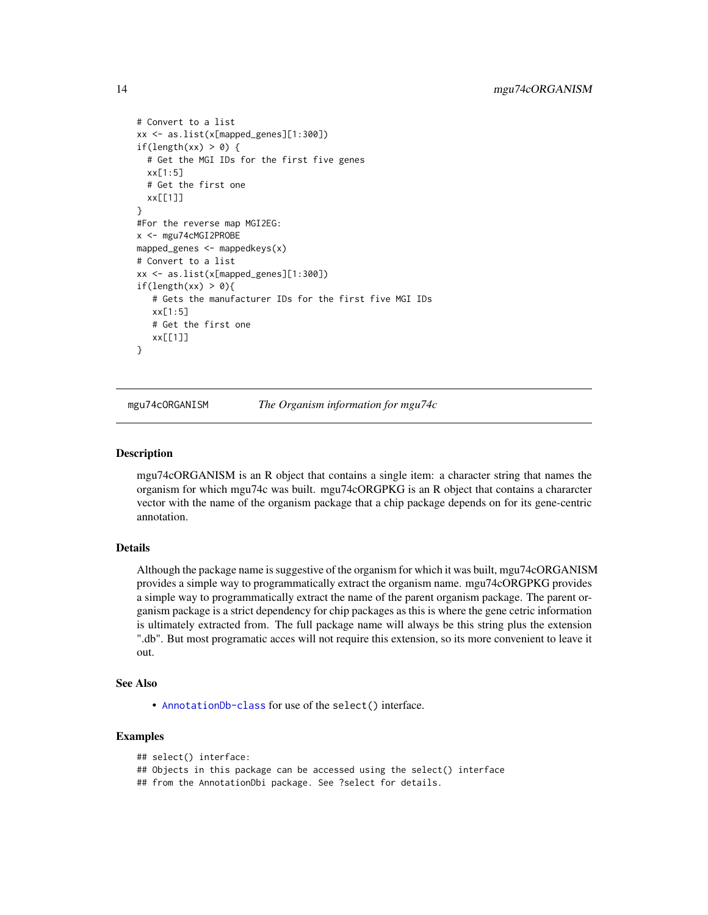```
# Convert to a list
xx <- as.list(x[mapped_genes][1:300])
if(length(xx) > 0) {
 # Get the MGI IDs for the first five genes
 xx[1:5]
 # Get the first one
 xx[[1]]
}
#For the reverse map MGI2EG:
x <- mgu74cMGI2PROBE
mapped_genes <- mappedkeys(x)
# Convert to a list
xx <- as.list(x[mapped_genes][1:300])
if(length(xx) > 0){
   # Gets the manufacturer IDs for the first five MGI IDs
  xx[1:5]
  # Get the first one
  xx[[1]]
}
```
mgu74cORGANISM *The Organism information for mgu74c*

#### **Description**

mgu74cORGANISM is an R object that contains a single item: a character string that names the organism for which mgu74c was built. mgu74cORGPKG is an R object that contains a chararcter vector with the name of the organism package that a chip package depends on for its gene-centric annotation.

## Details

Although the package name is suggestive of the organism for which it was built, mgu74cORGANISM provides a simple way to programmatically extract the organism name. mgu74cORGPKG provides a simple way to programmatically extract the name of the parent organism package. The parent organism package is a strict dependency for chip packages as this is where the gene cetric information is ultimately extracted from. The full package name will always be this string plus the extension ".db". But most programatic acces will not require this extension, so its more convenient to leave it out.

## See Also

• [AnnotationDb-class](#page-0-0) for use of the select() interface.

```
## select() interface:
## Objects in this package can be accessed using the select() interface
## from the AnnotationDbi package. See ?select for details.
```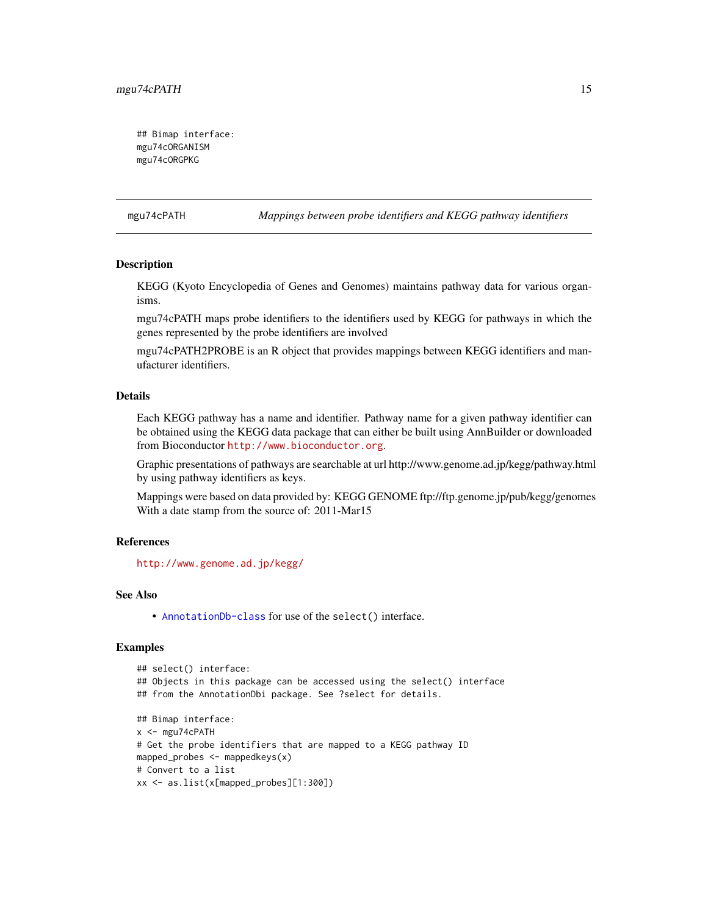<span id="page-14-0"></span>## Bimap interface: mgu74cORGANISM mgu74cORGPKG

mgu74cPATH *Mappings between probe identifiers and KEGG pathway identifiers*

## Description

KEGG (Kyoto Encyclopedia of Genes and Genomes) maintains pathway data for various organisms.

mgu74cPATH maps probe identifiers to the identifiers used by KEGG for pathways in which the genes represented by the probe identifiers are involved

mgu74cPATH2PROBE is an R object that provides mappings between KEGG identifiers and manufacturer identifiers.

#### Details

Each KEGG pathway has a name and identifier. Pathway name for a given pathway identifier can be obtained using the KEGG data package that can either be built using AnnBuilder or downloaded from Bioconductor <http://www.bioconductor.org>.

Graphic presentations of pathways are searchable at url http://www.genome.ad.jp/kegg/pathway.html by using pathway identifiers as keys.

Mappings were based on data provided by: KEGG GENOME ftp://ftp.genome.jp/pub/kegg/genomes With a date stamp from the source of: 2011-Mar15

## References

<http://www.genome.ad.jp/kegg/>

#### See Also

• [AnnotationDb-class](#page-0-0) for use of the select() interface.

```
## select() interface:
## Objects in this package can be accessed using the select() interface
## from the AnnotationDbi package. See ?select for details.
## Bimap interface:
x < - mgu74cPATH
# Get the probe identifiers that are mapped to a KEGG pathway ID
mapped_probes <- mappedkeys(x)
# Convert to a list
xx <- as.list(x[mapped_probes][1:300])
```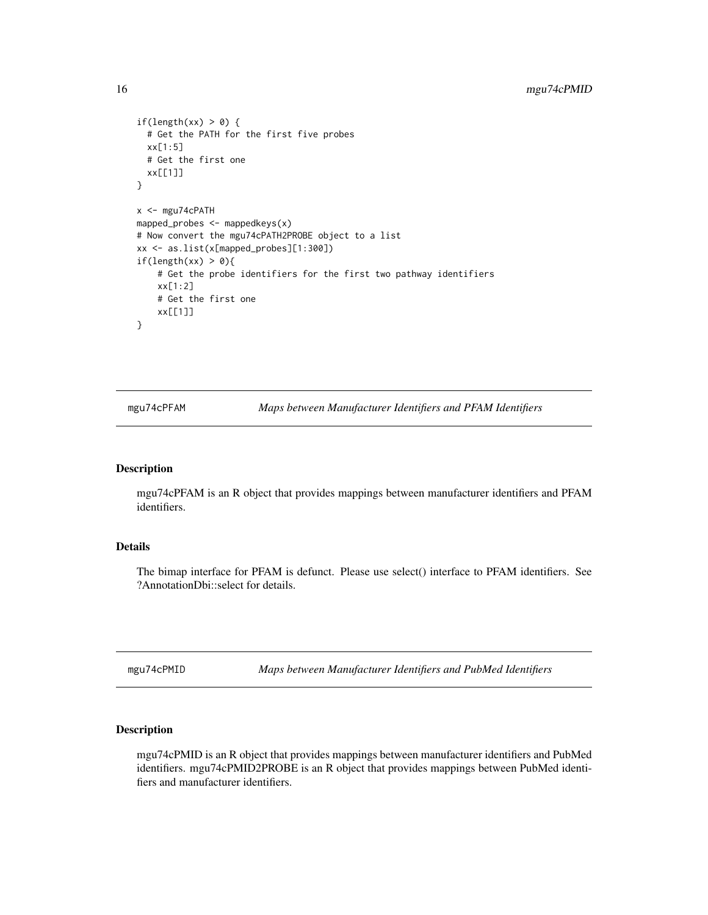```
if(length(xx) > 0) {
  # Get the PATH for the first five probes
  xx[1:5]
  # Get the first one
  xx[[1]]
}
x <- mgu74cPATH
mapped_probes \leq mappedkeys(x)
# Now convert the mgu74cPATH2PROBE object to a list
xx <- as.list(x[mapped_probes][1:300])
if(length(xx) > 0){
    # Get the probe identifiers for the first two pathway identifiers
    xx[1:2]
    # Get the first one
    xx[[1]]
}
```
mgu74cPFAM *Maps between Manufacturer Identifiers and PFAM Identifiers*

#### Description

mgu74cPFAM is an R object that provides mappings between manufacturer identifiers and PFAM identifiers.

## Details

The bimap interface for PFAM is defunct. Please use select() interface to PFAM identifiers. See ?AnnotationDbi::select for details.

mgu74cPMID *Maps between Manufacturer Identifiers and PubMed Identifiers*

## Description

mgu74cPMID is an R object that provides mappings between manufacturer identifiers and PubMed identifiers. mgu74cPMID2PROBE is an R object that provides mappings between PubMed identifiers and manufacturer identifiers.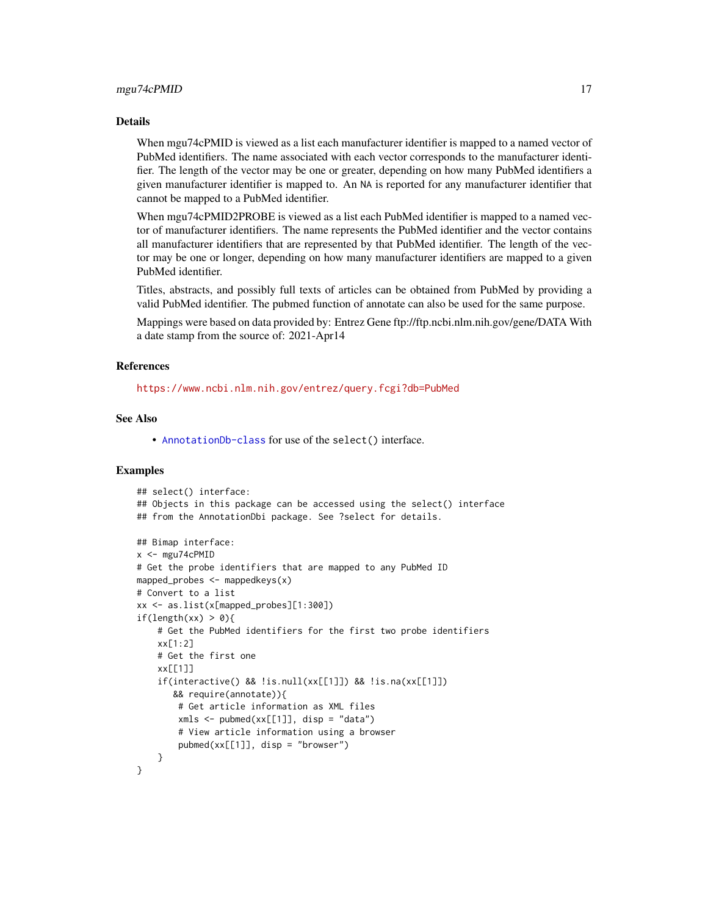#### Details

When mgu74cPMID is viewed as a list each manufacturer identifier is mapped to a named vector of PubMed identifiers. The name associated with each vector corresponds to the manufacturer identifier. The length of the vector may be one or greater, depending on how many PubMed identifiers a given manufacturer identifier is mapped to. An NA is reported for any manufacturer identifier that cannot be mapped to a PubMed identifier.

When mgu74cPMID2PROBE is viewed as a list each PubMed identifier is mapped to a named vector of manufacturer identifiers. The name represents the PubMed identifier and the vector contains all manufacturer identifiers that are represented by that PubMed identifier. The length of the vector may be one or longer, depending on how many manufacturer identifiers are mapped to a given PubMed identifier.

Titles, abstracts, and possibly full texts of articles can be obtained from PubMed by providing a valid PubMed identifier. The pubmed function of annotate can also be used for the same purpose.

Mappings were based on data provided by: Entrez Gene ftp://ftp.ncbi.nlm.nih.gov/gene/DATA With a date stamp from the source of: 2021-Apr14

#### References

<https://www.ncbi.nlm.nih.gov/entrez/query.fcgi?db=PubMed>

## See Also

• [AnnotationDb-class](#page-0-0) for use of the select() interface.

```
## select() interface:
## Objects in this package can be accessed using the select() interface
## from the AnnotationDbi package. See ?select for details.
## Bimap interface:
x < - mgu74cPMID
# Get the probe identifiers that are mapped to any PubMed ID
mapped_probes \leq mappedkeys(x)
# Convert to a list
xx <- as.list(x[mapped_probes][1:300])
if(length(xx) > 0)# Get the PubMed identifiers for the first two probe identifiers
    xx[1:2]
    # Get the first one
    xx[[1]]
    if(interactive() && !is.null(xx[[1]]) && !is.na(xx[[1]])
       && require(annotate)){
        # Get article information as XML files
        xmls < -pubmed(xx[[1]], disp = "data")# View article information using a browser
        pubmed(xx[[1]], disp = "browser")
    }
}
```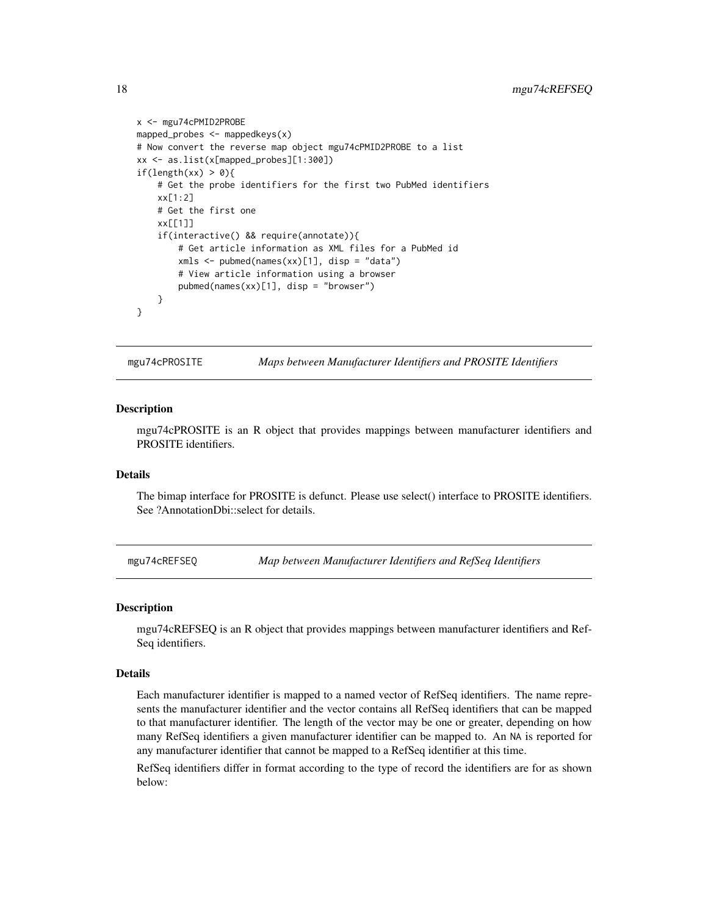```
x <- mgu74cPMID2PROBE
mapped_probes <- mappedkeys(x)
# Now convert the reverse map object mgu74cPMID2PROBE to a list
xx <- as.list(x[mapped_probes][1:300])
if(length(xx) > 0){
    # Get the probe identifiers for the first two PubMed identifiers
    xx[1:2]
    # Get the first one
   xx[[1]]
    if(interactive() && require(annotate)){
        # Get article information as XML files for a PubMed id
       xmls <- pubmed(names(xx)[1], disp = "data")
       # View article information using a browser
       pubmed(names(xx)[1], disp = "browser")
   }
}
```
mgu74cPROSITE *Maps between Manufacturer Identifiers and PROSITE Identifiers*

#### **Description**

mgu74cPROSITE is an R object that provides mappings between manufacturer identifiers and PROSITE identifiers.

## Details

The bimap interface for PROSITE is defunct. Please use select() interface to PROSITE identifiers. See ?AnnotationDbi::select for details.

mgu74cREFSEQ *Map between Manufacturer Identifiers and RefSeq Identifiers*

#### Description

mgu74cREFSEQ is an R object that provides mappings between manufacturer identifiers and Ref-Seq identifiers.

#### Details

Each manufacturer identifier is mapped to a named vector of RefSeq identifiers. The name represents the manufacturer identifier and the vector contains all RefSeq identifiers that can be mapped to that manufacturer identifier. The length of the vector may be one or greater, depending on how many RefSeq identifiers a given manufacturer identifier can be mapped to. An NA is reported for any manufacturer identifier that cannot be mapped to a RefSeq identifier at this time.

RefSeq identifiers differ in format according to the type of record the identifiers are for as shown below:

<span id="page-17-0"></span>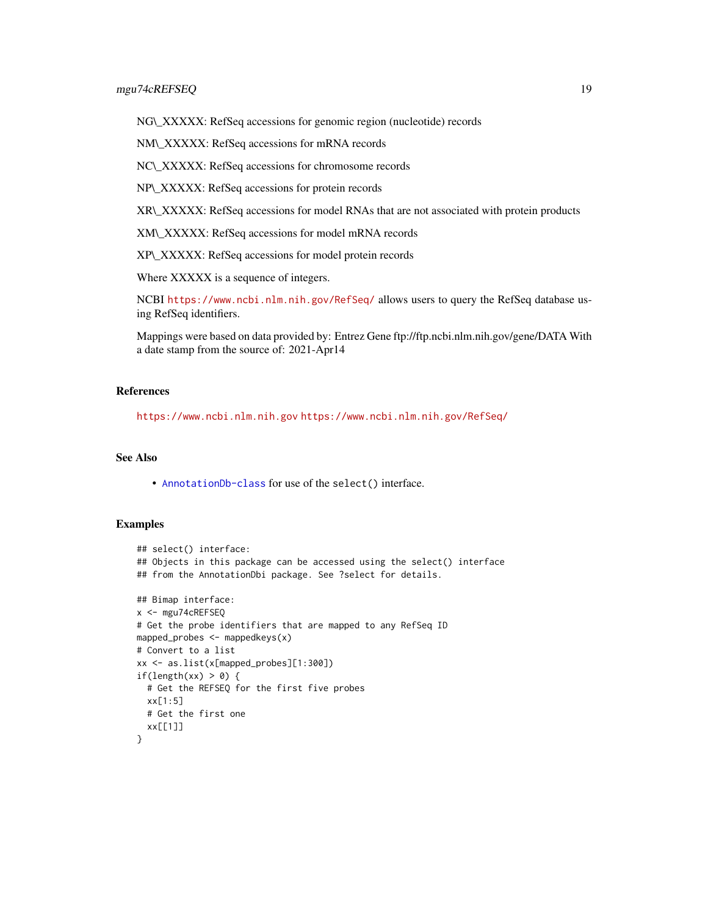NG\\_XXXXX: RefSeq accessions for genomic region (nucleotide) records

NM\\_XXXXX: RefSeq accessions for mRNA records

NC\\_XXXXX: RefSeq accessions for chromosome records

NP\\_XXXXX: RefSeq accessions for protein records

XR\\_XXXXX: RefSeq accessions for model RNAs that are not associated with protein products

XM\\_XXXXX: RefSeq accessions for model mRNA records

XP\\_XXXXX: RefSeq accessions for model protein records

Where XXXXX is a sequence of integers.

NCBI <https://www.ncbi.nlm.nih.gov/RefSeq/> allows users to query the RefSeq database using RefSeq identifiers.

Mappings were based on data provided by: Entrez Gene ftp://ftp.ncbi.nlm.nih.gov/gene/DATA With a date stamp from the source of: 2021-Apr14

## References

<https://www.ncbi.nlm.nih.gov> <https://www.ncbi.nlm.nih.gov/RefSeq/>

## See Also

• [AnnotationDb-class](#page-0-0) for use of the select() interface.

```
## select() interface:
## Objects in this package can be accessed using the select() interface
## from the AnnotationDbi package. See ?select for details.
## Bimap interface:
x <- mgu74cREFSEQ
# Get the probe identifiers that are mapped to any RefSeq ID
mapped_probes \leq mappedkeys(x)
# Convert to a list
xx <- as.list(x[mapped_probes][1:300])
if(length(xx) > \theta) {
  # Get the REFSEQ for the first five probes
  xx[1:5]
  # Get the first one
  xx[[1]]
}
```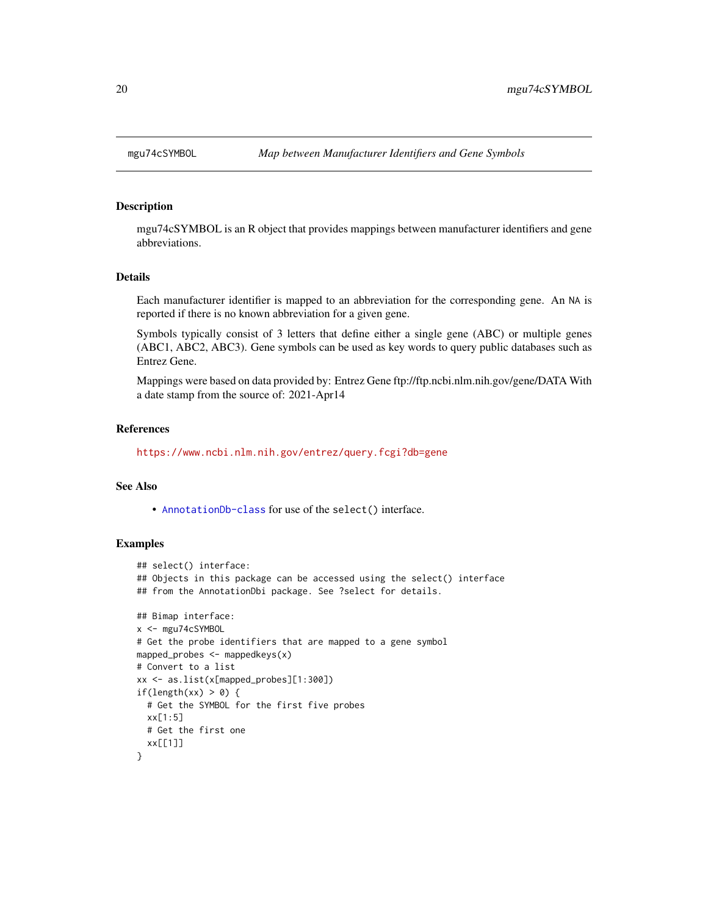<span id="page-19-0"></span>

mgu74cSYMBOL is an R object that provides mappings between manufacturer identifiers and gene abbreviations.

## Details

Each manufacturer identifier is mapped to an abbreviation for the corresponding gene. An NA is reported if there is no known abbreviation for a given gene.

Symbols typically consist of 3 letters that define either a single gene (ABC) or multiple genes (ABC1, ABC2, ABC3). Gene symbols can be used as key words to query public databases such as Entrez Gene.

Mappings were based on data provided by: Entrez Gene ftp://ftp.ncbi.nlm.nih.gov/gene/DATA With a date stamp from the source of: 2021-Apr14

#### References

<https://www.ncbi.nlm.nih.gov/entrez/query.fcgi?db=gene>

#### See Also

• [AnnotationDb-class](#page-0-0) for use of the select() interface.

```
## select() interface:
## Objects in this package can be accessed using the select() interface
## from the AnnotationDbi package. See ?select for details.
## Bimap interface:
x <- mgu74cSYMBOL
# Get the probe identifiers that are mapped to a gene symbol
mapped_probes <- mappedkeys(x)
# Convert to a list
xx <- as.list(x[mapped_probes][1:300])
if(length(xx) > 0) {
  # Get the SYMBOL for the first five probes
  xx[1:5]
  # Get the first one
  xx[[1]]
}
```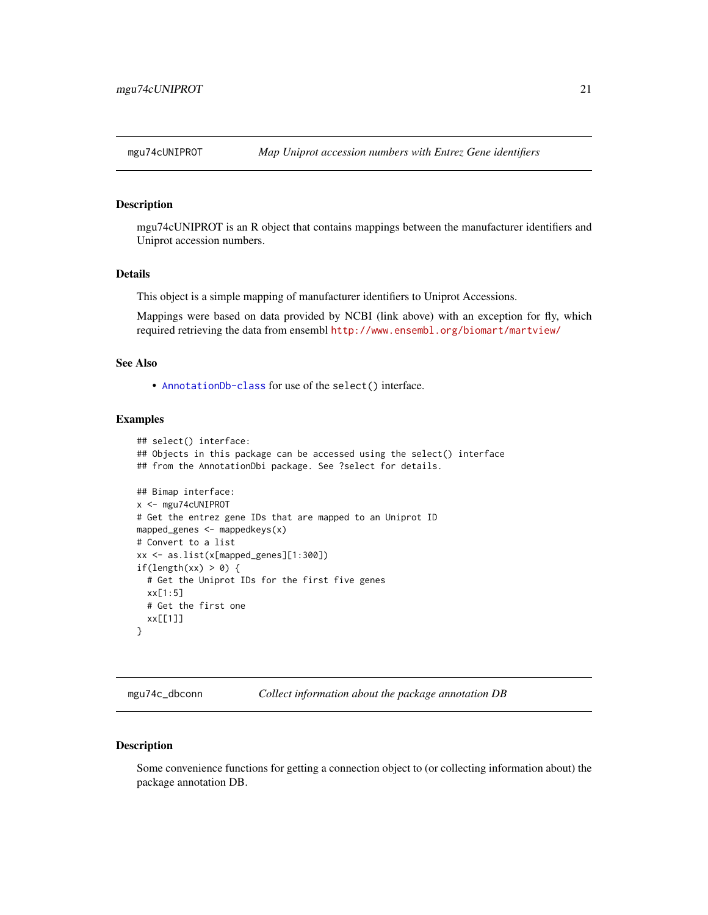<span id="page-20-0"></span>

mgu74cUNIPROT is an R object that contains mappings between the manufacturer identifiers and Uniprot accession numbers.

#### Details

This object is a simple mapping of manufacturer identifiers to Uniprot Accessions.

Mappings were based on data provided by NCBI (link above) with an exception for fly, which required retrieving the data from ensembl <http://www.ensembl.org/biomart/martview/>

## See Also

• [AnnotationDb-class](#page-0-0) for use of the select() interface.

## Examples

```
## select() interface:
## Objects in this package can be accessed using the select() interface
## from the AnnotationDbi package. See ?select for details.
## Bimap interface:
x <- mgu74cUNIPROT
# Get the entrez gene IDs that are mapped to an Uniprot ID
mapped_genes <- mappedkeys(x)
# Convert to a list
xx <- as.list(x[mapped_genes][1:300])
if(length(xx) > 0) {
  # Get the Uniprot IDs for the first five genes
  xx[1:5]
  # Get the first one
  xx[[1]]
}
```
mgu74c\_dbconn *Collect information about the package annotation DB*

#### Description

Some convenience functions for getting a connection object to (or collecting information about) the package annotation DB.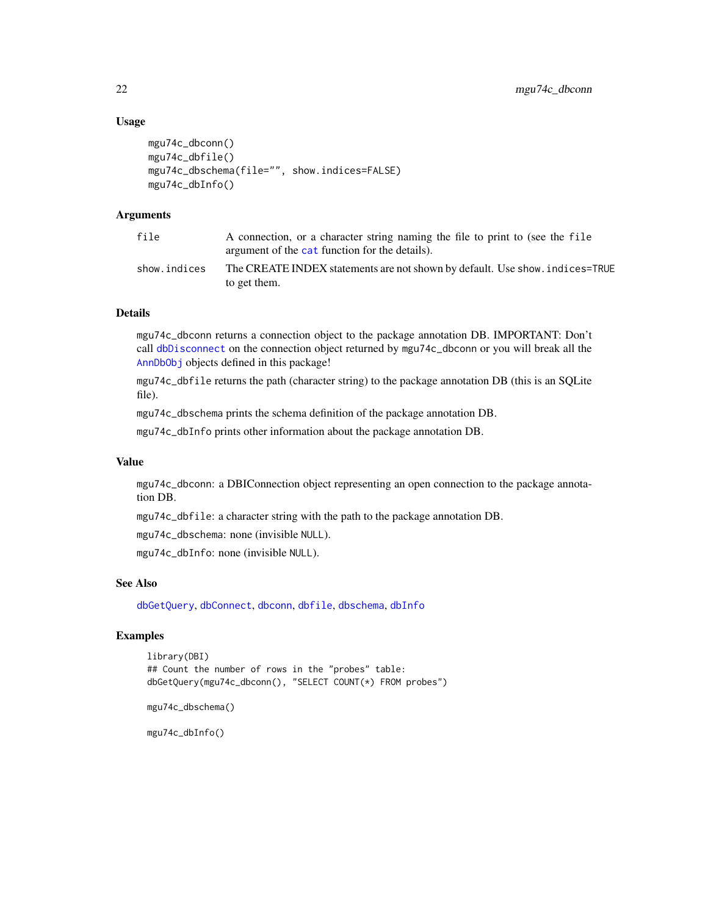#### <span id="page-21-0"></span>Usage

```
mgu74c_dbconn()
mgu74c_dbfile()
mgu74c_dbschema(file="", show.indices=FALSE)
mgu74c_dbInfo()
```
## Arguments

| file         | A connection, or a character string naming the file to print to (see the file<br>argument of the cat function for the details). |
|--------------|---------------------------------------------------------------------------------------------------------------------------------|
| show.indices | The CREATE INDEX statements are not shown by default. Use show, indices=TRUE<br>to get them.                                    |

## Details

mgu74c\_dbconn returns a connection object to the package annotation DB. IMPORTANT: Don't call [dbDisconnect](#page-0-0) on the connection object returned by mgu74c\_dbconn or you will break all the [AnnDbObj](#page-0-0) objects defined in this package!

mgu74c\_dbfile returns the path (character string) to the package annotation DB (this is an SQLite file).

mgu74c\_dbschema prints the schema definition of the package annotation DB.

mgu74c\_dbInfo prints other information about the package annotation DB.

## Value

mgu74c\_dbconn: a DBIConnection object representing an open connection to the package annotation DB.

mgu74c\_dbfile: a character string with the path to the package annotation DB.

mgu74c\_dbschema: none (invisible NULL).

mgu74c\_dbInfo: none (invisible NULL).

## See Also

[dbGetQuery](#page-0-0), [dbConnect](#page-0-0), [dbconn](#page-0-0), [dbfile](#page-0-0), [dbschema](#page-0-0), [dbInfo](#page-0-0)

## Examples

```
library(DBI)
## Count the number of rows in the "probes" table:
dbGetQuery(mgu74c_dbconn(), "SELECT COUNT(*) FROM probes")
```

```
mgu74c_dbschema()
```
mgu74c\_dbInfo()